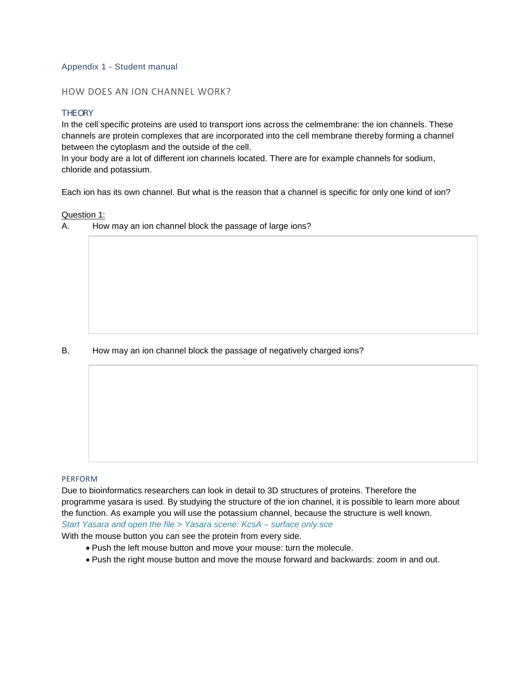# Appendix 1 - Student manual

# HOW DOES AN ION CHANNEL WORK?

# **THEORY**

In the cell specific proteins are used to transport ions across the celmembrane: the ion channels. These channels are protein complexes that are incorporated into the cell membrane thereby forming a channel between the cytoplasm and the outside of the cell.

In your body are a lot of different ion channels located. There are for example channels for sodium, chloride and potassium.

Each ion has its own channel. But what is the reason that a channel is specific for only one kind of ion?

#### Question 1:

A. How may an ion channel block the passage of large ions?

# B. How may an ion channel block the passage of negatively charged ions?

## PERFORM

Due to bioinformatics researchers can look in detail to 3D structures of proteins. Therefore the programme yasara is used. By studying the structure of the ion channel, it is possible to learn more about the function. As example you will use the potassium channel, because the structure is well known. *Start Yasara and open the file > Yasara scene: KcsA – surface only.sce*

With the mouse button you can see the protein from every side.

- Push the left mouse button and move your mouse: turn the molecule.
- Push the right mouse button and move the mouse forward and backwards: zoom in and out.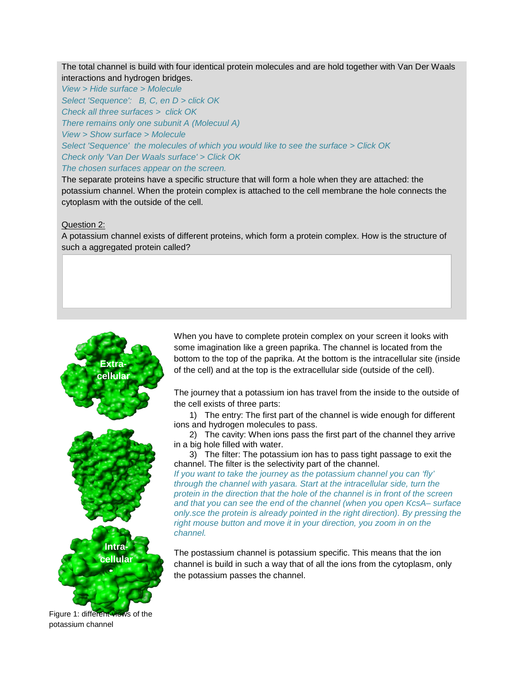The total channel is build with four identical protein molecules and are hold together with Van Der Waals interactions and hydrogen bridges.

*View > Hide surface > Molecule* 

*Select 'Sequence': B, C, en D > click OK Check all three surfaces > click OK There remains only one subunit A (Molecuul A)*

*View > Show surface > Molecule*

*Select 'Sequence' the molecules of which you would like to see the surface > Click OK Check only 'Van Der Waals surface' > Click OK*

*The chosen surfaces appear on the screen.* 

The separate proteins have a specific structure that will form a hole when they are attached: the potassium channel. When the protein complex is attached to the cell membrane the hole connects the cytoplasm with the outside of the cell.

# Question 2:

A potassium channel exists of different proteins, which form a protein complex. How is the structure of such a aggregated protein called?



Figure 1: different views of the potassium channel

When you have to complete protein complex on your screen it looks with some imagination like a green paprika. The channel is located from the bottom to the top of the paprika. At the bottom is the intracellular site (inside of the cell) and at the top is the extracellular side (outside of the cell).

The journey that a potassium ion has travel from the inside to the outside of the cell exists of three parts:

1) The entry: The first part of the channel is wide enough for different ions and hydrogen molecules to pass.

2) The cavity: When ions pass the first part of the channel they arrive in a big hole filled with water.

3) The filter: The potassium ion has to pass tight passage to exit the channel. The filter is the selectivity part of the channel.

*If you want to take the journey as the potassium channel you can 'fly' through the channel with yasara. Start at the intracellular side, turn the protein in the direction that the hole of the channel is in front of the screen and that you can see the end of the channel (when you open KcsA– surface only.sce the protein is already pointed in the right direction). By pressing the right mouse button and move it in your direction, you zoom in on the channel.* 

The postassium channel is potassium specific. This means that the ion channel is build in such a way that of all the ions from the cytoplasm, only the potassium passes the channel.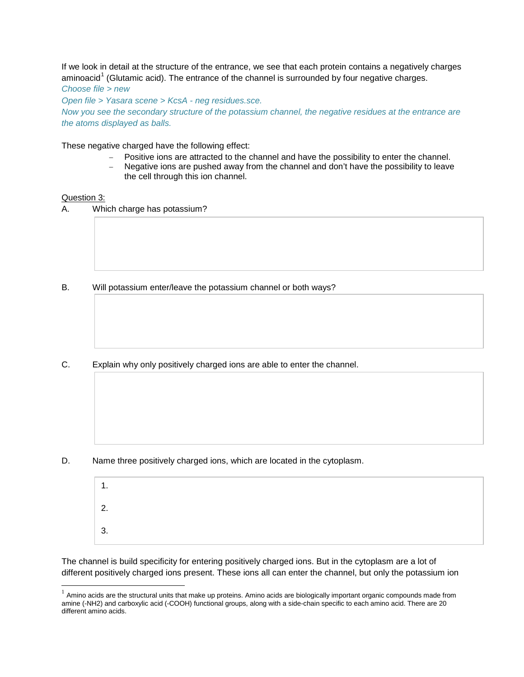If we look in detail at the structure of the entrance, we see that each protein contains a negatively charges aminoacid<sup>[1](#page-2-0)</sup> (Glutamic acid). The entrance of the channel is surrounded by four negative charges.

*Choose file > new*

*Open file > Yasara scene > KcsA - neg residues.sce. Now you see the secondary structure of the potassium channel, the negative residues at the entrance are the atoms displayed as balls.*

These negative charged have the following effect:

- − Positive ions are attracted to the channel and have the possibility to enter the channel.
- Negative ions are pushed away from the channel and don't have the possibility to leave the cell through this ion channel.

#### Question 3:

 $\overline{a}$ 

A. Which charge has potassium?

- B. Will potassium enter/leave the potassium channel or both ways?
- C. Explain why only positively charged ions are able to enter the channel.

D. Name three positively charged ions, which are located in the cytoplasm.

| 1<br>. .   |  |  |
|------------|--|--|
| ົດ         |  |  |
| ્ર<br>. ပ. |  |  |

The channel is build specificity for entering positively charged ions. But in the cytoplasm are a lot of different positively charged ions present. These ions all can enter the channel, but only the potassium ion

<span id="page-2-0"></span> $1$  Amino acids are the structural units that make up proteins. Amino acids are biologically important organic compounds made from amine (-NH2) and carboxylic acid (-COOH) functional groups, along with a side-chain specific to each amino acid. There are 20 different amino acids.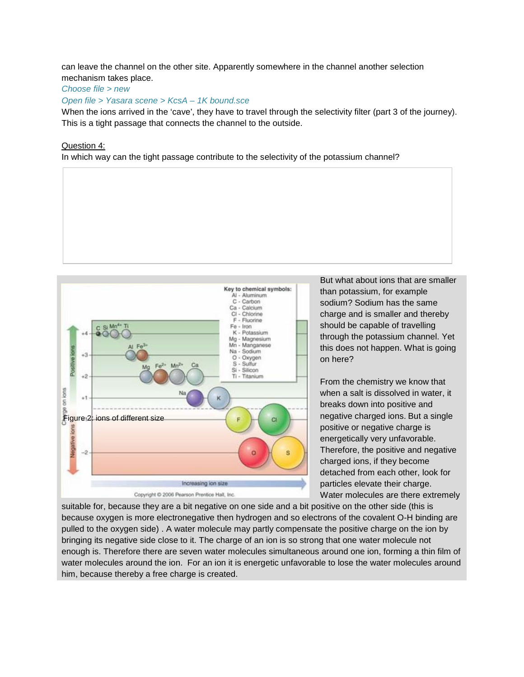can leave the channel on the other site. Apparently somewhere in the channel another selection mechanism takes place.

## *Choose file > new*

*Open file > Yasara scene > KcsA – 1K bound.sce*

When the ions arrived in the 'cave', they have to travel through the selectivity filter (part 3 of the journey). This is a tight passage that connects the channel to the outside.

## Question 4:

In which way can the tight passage contribute to the selectivity of the potassium channel?



But what about ions that are smaller than potassium, for example sodium? Sodium has the same charge and is smaller and thereby should be capable of travelling through the potassium channel. Yet this does not happen. What is going on here?

From the chemistry we know that when a salt is dissolved in water, it breaks down into positive and negative charged ions. But a single positive or negative charge is energetically very unfavorable. Therefore, the positive and negative charged ions, if they become detached from each other, look for particles elevate their charge. Water molecules are there extremely

suitable for, because they are a bit negative on one side and a bit positive on the other side (this is because oxygen is more electronegative then hydrogen and so electrons of the covalent O-H binding are pulled to the oxygen side) . A water molecule may partly compensate the positive charge on the ion by bringing its negative side close to it. The charge of an ion is so strong that one water molecule not enough is. Therefore there are seven water molecules simultaneous around one ion, forming a thin film of water molecules around the ion. For an ion it is energetic unfavorable to lose the water molecules around him, because thereby a free charge is created.